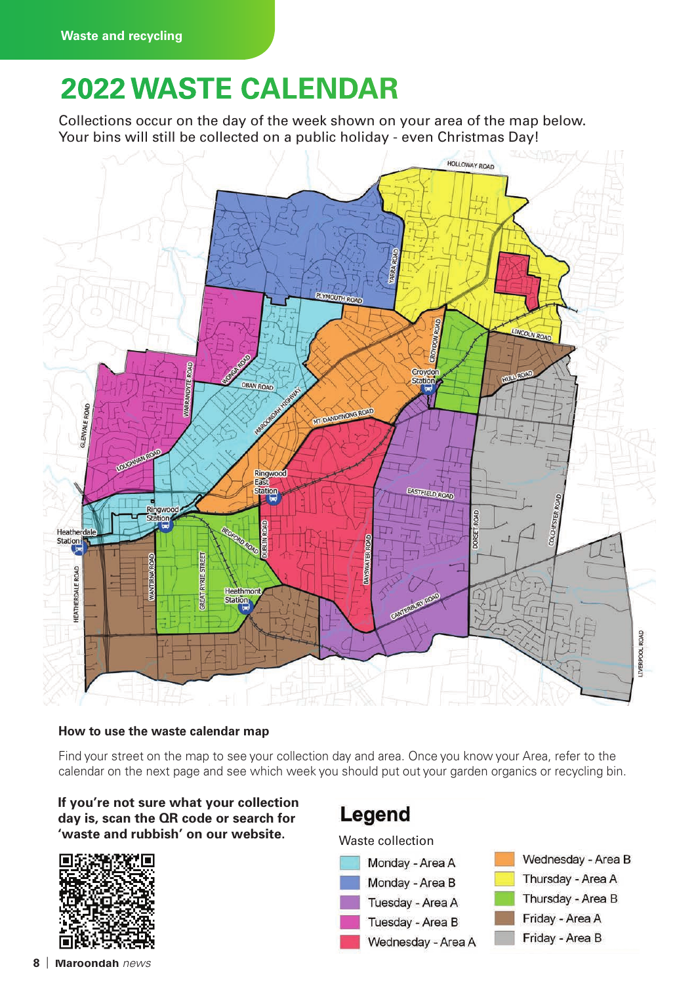## **2021 WASTE CALENDAR 2022 WASTE CALENDAR**

Collections occur on the day of the week shown on your area of the map below. Your bins will still be collected on a public holiday - even Christmas Day!



#### **How to use the waste calendar map**

Find your street on the map to see your collection day and area. Once you know your Area, refer to the calendar on the next page and see which week you should put out your garden organics or recycling bin.

#### **If you're not sure what your collection day is, scan the QR code or search for**  'waste and rubbish' on our website. Waste collection



### Legend

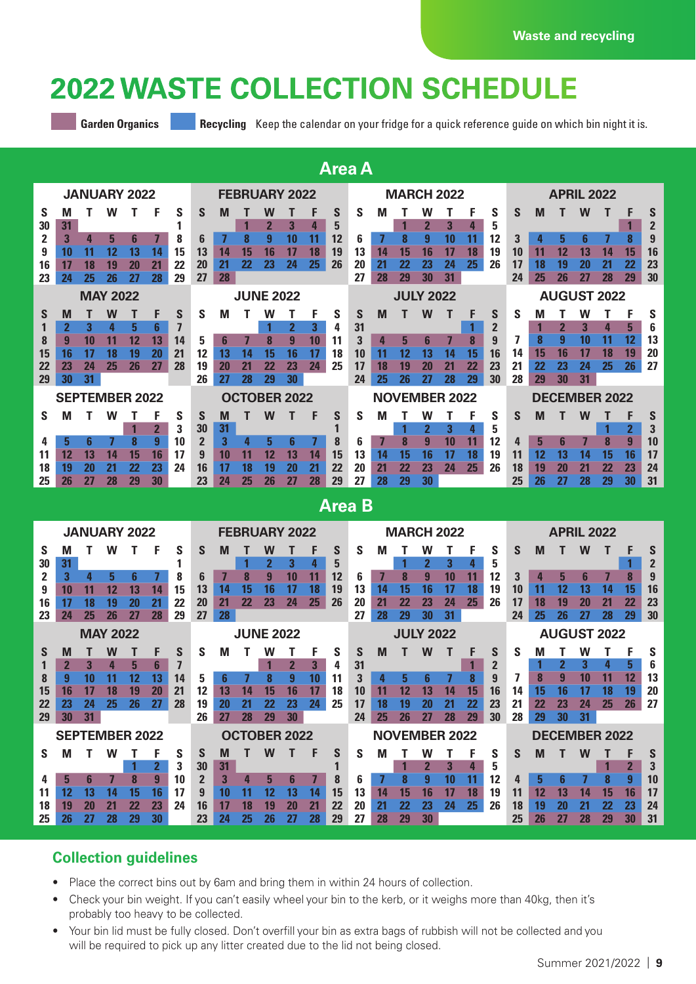### **2022 WASTE COLLECTION SCHEDULE**

**Garden Organics <b>Recycling Beexet Algebra Calendar on your fridge for a quick reference guide on which bin night it is.** 

| <b>Area A</b>         |    |    |                     |    |    |    |                      |                     |    |              |    |    |    |    |                      |    |                  |    |           |                |    |                      |                   |    |    |                |    |  |  |
|-----------------------|----|----|---------------------|----|----|----|----------------------|---------------------|----|--------------|----|----|----|----|----------------------|----|------------------|----|-----------|----------------|----|----------------------|-------------------|----|----|----------------|----|--|--|
|                       |    |    | <b>JANUARY 2022</b> |    |    |    | <b>FEBRUARY 2022</b> |                     |    |              |    |    |    |    | <b>MARCH 2022</b>    |    |                  |    |           |                |    |                      | <b>APRIL 2022</b> |    |    |                |    |  |  |
| S                     | M  |    | w                   |    |    | S  | S                    | M                   |    | w            |    |    | S  | S  | м                    |    | w                |    | F         | S              | S  | M                    |                   | W  |    |                | S  |  |  |
| 30                    | 31 |    |                     |    |    |    |                      |                     |    | $\mathbf{2}$ | 3  | 4  | 5  |    |                      |    | $\mathbf{2}$     | 3  | 4         | 5              |    |                      |                   |    |    |                | 2  |  |  |
| 2                     | 3  | 4  | 5                   | 6  |    | 8  | 6                    |                     |    | 9            | 10 | 11 | 12 | 6  |                      | 8  | 9                | 10 | 11        | 12             | 3  |                      | 5                 | 6  |    | 8              | 9  |  |  |
| 9                     | 10 | 11 | 12                  | 13 | 14 | 15 | 13                   | 14                  | 15 | 16           | 17 | 18 | 19 | 13 | 14                   | 15 | 16               | 17 | <b>18</b> | 19             | 10 | 11                   | 12                | 13 | 14 | 15             | 16 |  |  |
| 16                    | 17 | 18 | 19                  | 20 | 21 | 22 | 20                   | 21                  | 22 | 23           | 24 | 25 | 26 | 20 | 21                   | 22 | 23               | 24 | 25        | 26             | 17 | 18                   | 19                | 20 | 21 | 22             | 23 |  |  |
| 23                    | 24 | 25 | 26                  | 27 | 28 | 29 | 27                   | 28                  |    |              |    |    |    | 27 | 28                   | 29 | 30               | 31 |           |                | 24 | 25                   | 26                | 27 | 28 | 29             | 30 |  |  |
| <b>MAY 2022</b>       |    |    |                     |    |    |    |                      | <b>JUNE 2022</b>    |    |              |    |    |    |    | <b>JULY 2022</b>     |    |                  |    |           |                |    | <b>AUGUST 2022</b>   |                   |    |    |                |    |  |  |
| S                     | M  |    | W                   |    | F  | S  | S                    | M                   |    | w            |    | F  | S  | S  | M                    |    | W                |    | F         | S              | S  | M                    |                   | W  |    | F              | S  |  |  |
|                       |    | 3  | 4                   | 5  | 6  |    |                      |                     |    |              |    | 3  | 4  | 31 |                      |    |                  |    |           | $\overline{2}$ |    |                      | $\mathbf 2$       | 3  | 4  | 5              | 6  |  |  |
| 8                     | 9  | 10 | 11                  | 12 | 13 | 14 | 5                    | 6                   |    | 8            | 9  | 10 | 11 | 3  | 4                    | 5  | 6                |    | 8         | 9              |    | 8                    | 9                 | 10 | 11 | 12             | 13 |  |  |
| 15                    | 16 | 17 | 18                  | 19 | 20 | 21 | 12                   | 13                  | 14 | 15           | 16 | 17 | 18 | 10 | 11                   | 12 | 13               | 14 | 15        | 16             | 14 | 15                   | 16                | 17 | 18 | 19             | 20 |  |  |
| 22                    | 23 | 24 | 25                  | 26 | 27 | 28 | 19                   | 20                  | 21 | 22           | 23 | 24 | 25 | 17 | 18                   | 19 | 20               | 21 | 22        | 23             | 21 | 22                   | 23                | 24 | 25 | 26             | 27 |  |  |
| 29                    | 30 | 31 |                     |    |    |    | 26                   | 27                  | 28 | 29           | 30 |    |    | 24 | 25                   | 26 |                  | 28 | 29        | 30             | 28 | 29                   | 30                | 31 |    |                |    |  |  |
| <b>SEPTEMBER 2022</b> |    |    |                     |    |    |    |                      | <b>OCTOBER 2022</b> |    |              |    |    |    |    | <b>NOVEMBER 2022</b> |    |                  |    |           |                |    | <b>DECEMBER 2022</b> |                   |    |    |                |    |  |  |
| S                     | M  |    | w                   |    |    | S  | S                    | M                   |    | W            |    | F  | S  | S  | M                    |    | w                |    | F         | S              | S  | M                    |                   | W  |    |                | S  |  |  |
|                       |    |    |                     |    | 2  | 3  | 30                   | 31                  |    |              |    |    |    |    |                      |    |                  | 3  | 4         | 5              |    |                      |                   |    |    |                | 3  |  |  |
| 4                     | 5  | հ  |                     | 8  | 9  | 10 | $\overline{2}$       | 3                   |    | 5            | 6  |    | 8  | ĥ  |                      | 8  | $\boldsymbol{q}$ | 10 | 11        | 12             | 4  | 5                    | 6                 |    | 8  | $\overline{9}$ | 10 |  |  |
| 11                    | 12 | 13 | 14                  | 15 | 16 | 17 | 9                    | 10                  | 11 | 12           | 13 | 14 | 15 | 13 | 14                   | 15 | 16               | 17 | 18        | 19             | 11 | 12                   | 13                | 14 | 15 | 16             | 17 |  |  |
| 18                    | 19 | 20 | 21                  | 22 | 23 | 24 | 16                   | 17                  | 18 | 19           | 20 | 21 | 22 | 20 | 21                   | 22 | 23               | 24 | 25        | 26             | 18 | 19                   | 20                | 21 | 22 | 23             | 24 |  |  |
| 25                    | 26 | 27 | 28                  | 29 | 30 |    | 23                   | 24                  | 25 | 26           | 27 | 28 | 29 | 27 | 28                   | 29 | 30               |    |           |                | 25 | 26                   | 27                | 28 | 29 | 30             | 31 |  |  |

### **Area B**

| <b>JANUARY 2022</b>   |    |    |    |    |    |    |                | <b>FEBRUARY 2022</b> |    |    |    |    |    |    |                      | <b>MARCH 2022</b> |    |    |    |    |    |                      |    | <b>APRIL 2022</b> |    |           |                |  |  |  |
|-----------------------|----|----|----|----|----|----|----------------|----------------------|----|----|----|----|----|----|----------------------|-------------------|----|----|----|----|----|----------------------|----|-------------------|----|-----------|----------------|--|--|--|
| S                     | M  |    | w  |    |    | S  | S              | M                    |    |    |    |    | S  | S  | M                    |                   | w  |    |    | S  | S  | м                    |    | W                 |    |           | S              |  |  |  |
| 30                    | 31 |    |    |    |    |    |                |                      |    |    | 3  | 4  | 5  |    |                      |                   |    | 3  | 4  | 5  |    |                      |    |                   |    |           | $\overline{2}$ |  |  |  |
|                       | 3  | 4  | 5  | 6  |    | 8  | 6              |                      | 8  | 9  | 10 | 11 | 12 | ĥ  |                      | 8                 | 9  | 10 | 11 | 12 | 3  | 4                    | 5  | 6                 |    | 8         | 9              |  |  |  |
|                       | 10 | 11 | 12 | 13 | 14 | 15 | 13             | 14                   | 15 | 16 | 17 | 18 | 19 | 13 | 14                   | 15                | 16 | 17 | 18 | 19 | 10 | 11                   | 12 | 13                | 14 | 15        | 16             |  |  |  |
| 16                    | 17 | 18 | 19 | 20 | 21 | 22 | 20             | 21                   | 22 | 23 | 24 | 25 | 26 | 20 | 21                   | 22                | 23 | 24 | 25 | 26 | 17 | 18                   | 19 | 20                | 21 | 22        | 23             |  |  |  |
| 23                    | 24 | 25 | 26 | 27 | 28 | 29 | 27             | 28                   |    |    |    |    |    | 27 | 28                   | 29                | 30 | 31 |    |    | 24 | 25                   | 26 | 27                | 28 | 29        | 30             |  |  |  |
| <b>MAY 2022</b>       |    |    |    |    |    |    |                | <b>JUNE 2022</b>     |    |    |    |    |    |    | <b>JULY 2022</b>     |                   |    |    |    |    |    | <b>AUGUST 2022</b>   |    |                   |    |           |                |  |  |  |
| S                     | M  |    | W  |    | F  | S  | S              | м                    |    | W  |    | F  | S  | S  | M                    |                   | W  |    |    | S  | S  | М                    |    | w                 |    | F         | S              |  |  |  |
|                       |    |    |    | 5  | 6  |    |                |                      |    |    |    | 3  | 4  | 31 |                      |                   |    |    |    |    |    |                      |    | 3                 |    | 5         | 6              |  |  |  |
| 8                     | 9  | 10 | 11 | 12 | 13 | 14 | 5              |                      |    | 8  |    | 10 | 11 |    | 4                    | 5                 |    |    | 8  | 9  |    | 8                    |    | 10                | 11 | 12        | 13             |  |  |  |
| 15                    | 16 | 17 | 18 | 19 | 20 | 21 | 12             | 13                   | 14 | 15 | 16 | 17 | 18 | 10 | 11                   | 12                | 13 | 14 | 15 | 16 | 14 | 15                   | 16 | 17                | 18 | 19        | 20             |  |  |  |
| 22                    | 23 | 24 | 25 | 26 | 27 | 28 | 19             | 20                   | 21 | 22 | 23 | 24 | 25 | 17 | 18                   | 19                | 20 | 21 | 22 | 23 | 21 | 22                   | 23 | 24                | 25 | 26        | 27             |  |  |  |
| 29                    | 30 | 31 |    |    |    |    | 26             | 27                   | 28 | 29 | 30 |    |    | 24 | 25                   | 26                | 27 | 28 | 29 | 30 | 28 | 29                   | 30 | 31                |    |           |                |  |  |  |
| <b>SEPTEMBER 2022</b> |    |    |    |    |    |    |                | <b>OCTOBER 2022</b>  |    |    |    |    |    |    | <b>NOVEMBER 2022</b> |                   |    |    |    |    |    | <b>DECEMBER 2022</b> |    |                   |    |           |                |  |  |  |
| <b>S</b>              | M  |    | W  |    |    | S  | S              | M                    |    | W  |    | F  | S  | S  | M                    |                   | W  |    | F  | S  | S  | M                    |    | W                 |    |           | S              |  |  |  |
|                       |    |    |    |    |    | 3  | 30             | 31                   |    |    |    |    |    |    |                      |                   |    | 3  | 4  | 5  |    |                      |    |                   |    |           | 3              |  |  |  |
|                       | 5  |    |    | 8  | 9  | 10 | $\overline{2}$ | 3                    |    | 5  | 6  |    | 8  | 6  |                      | 8                 |    | 10 | 11 | 12 | 4  | 5                    |    |                   | 8  | 9         | 10             |  |  |  |
| 11                    | 12 | 13 | 14 | 15 | 16 | 17 | 9              | 10                   | 11 | 12 | 13 | 14 | 15 | 13 | 14                   | 15                | 16 | 17 | 18 | 19 | 11 | 12                   | 13 | 14                | 15 | <b>16</b> | 17             |  |  |  |
| 18                    | 19 | 20 | 21 | 22 | 23 | 24 | 16             | 17                   | 18 | 19 | 20 | 21 | 22 | 20 | 21                   | 22                | 23 | 24 | 25 | 26 | 18 | 19                   | 20 | 21                | 22 | 23        | 24             |  |  |  |
| 25                    | 26 | 27 | 28 | 29 | 30 |    | 23             | 24                   | 25 | 26 | 27 | 28 | 29 | 27 | 28                   | 29                | 30 |    |    |    | 25 | 26                   |    | 28                | 29 | 30        | 31             |  |  |  |

#### **Collection guidelines**

- Place the correct bins out by 6am and bring them in within 24 hours of collection.
- Check your bin weight. If you can't easily wheel your bin to the kerb, or it weighs more than 40kg, then it's probably too heavy to be collected.
- Your bin lid must be fully closed. Don't overfill your bin as extra bags of rubbish will not be collected and you will be required to pick up any litter created due to the lid not being closed.